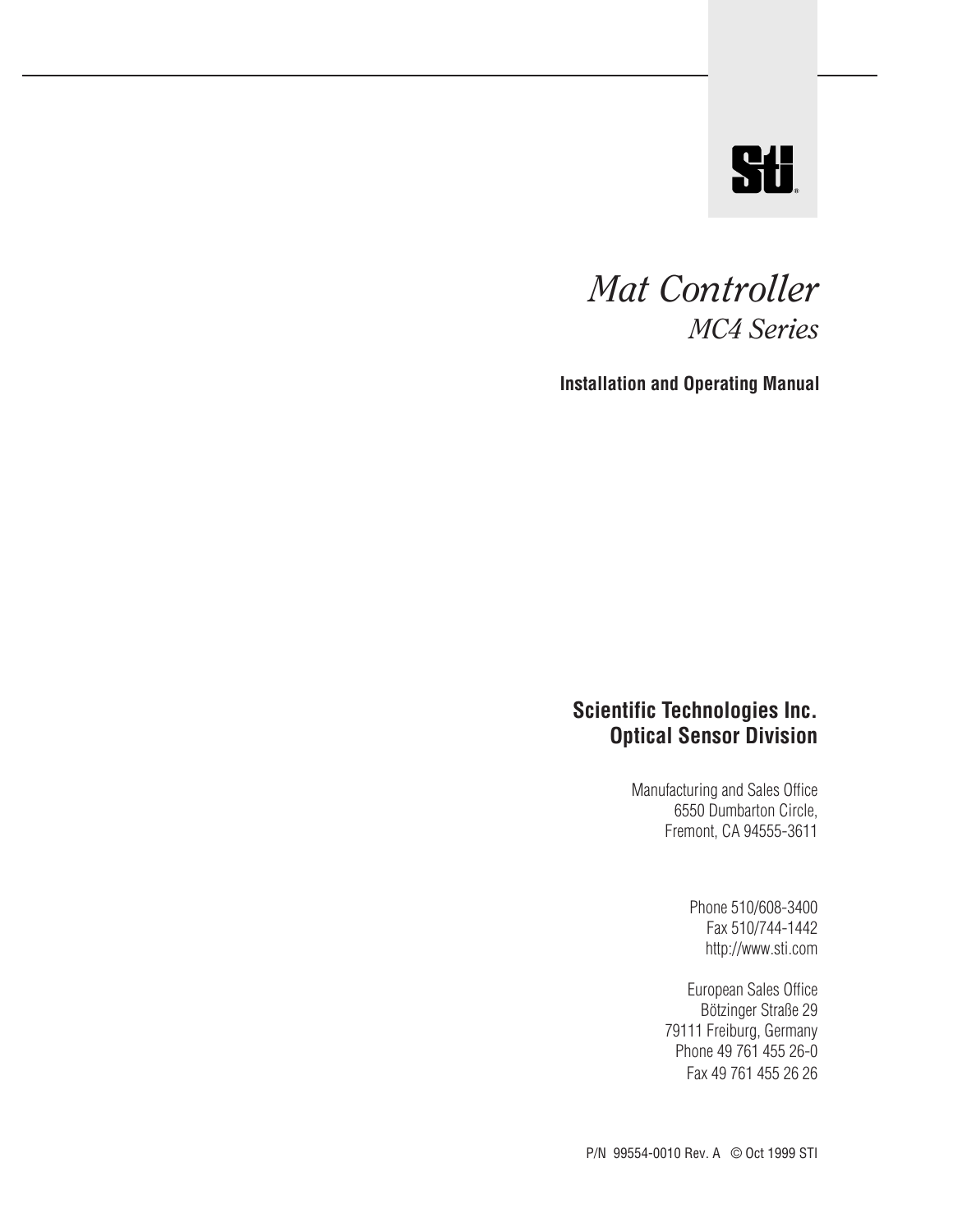

### *Mat Controller MC4 Series*

**Installation and Operating Manual**

### **Scientific Technologies Inc. Optical Sensor Division**

Manufacturing and Sales Office 6550 Dumbarton Circle, Fremont, CA 94555-3611

> Phone 510/608-3400 Fax 510/744-1442 http://www.sti.com

European Sales Office Bötzinger Straße 29 79111 Freiburg, Germany Phone 49 761 455 26-0 Fax 49 761 455 26 26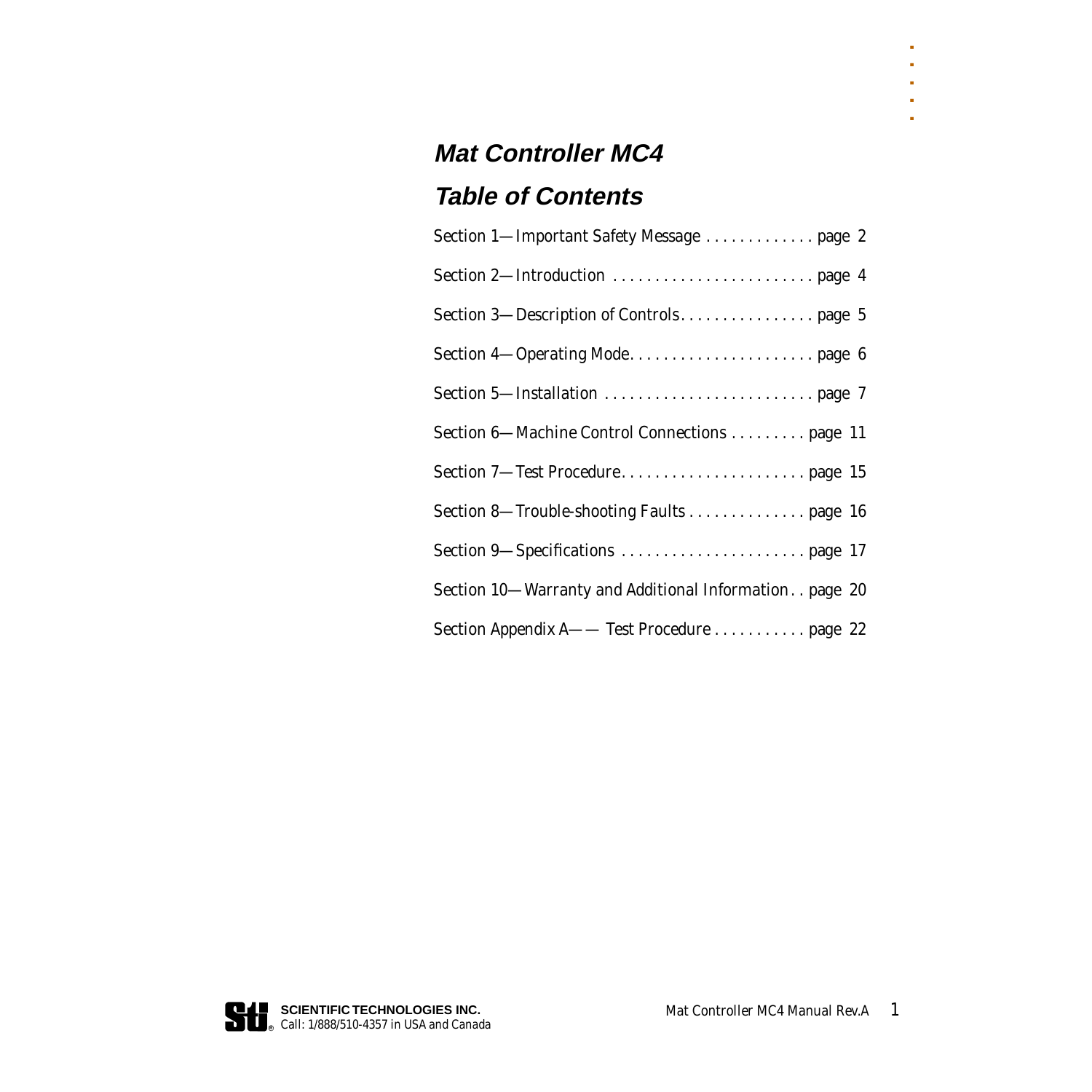### **Mat Controller MC4 Table of Contents**

| Section 1-Important Safety Message  page 2                |
|-----------------------------------------------------------|
|                                                           |
|                                                           |
|                                                           |
|                                                           |
| Section 6-Machine Control Connections  page 11            |
|                                                           |
| Section 8—Trouble-shooting Faults page 16                 |
|                                                           |
| Section 10-Warranty and Additional Information. . page 20 |
| Section Appendix A- Test Procedure  page 22               |



. . . . .

k  $\blacksquare$ à. ò.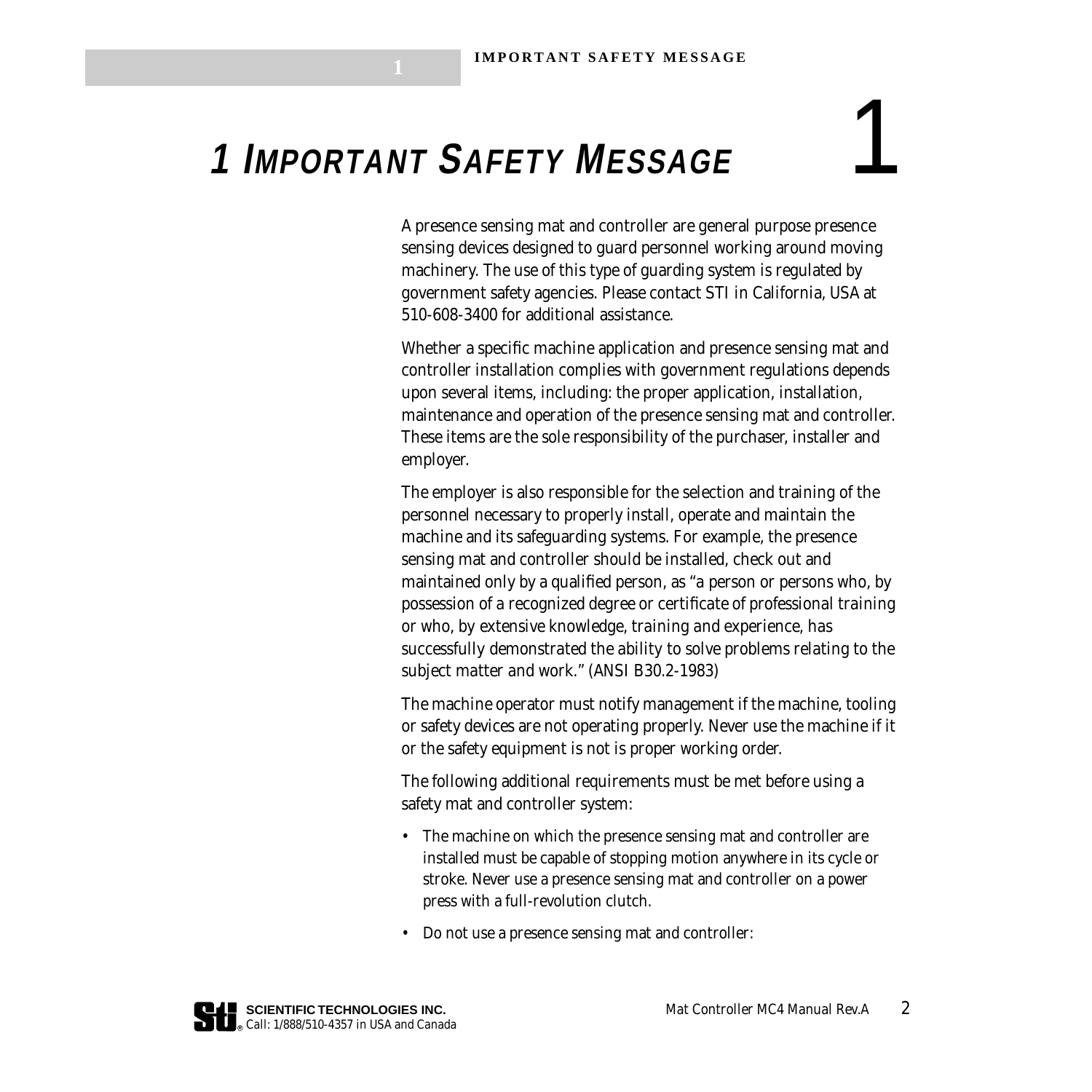## <span id="page-2-0"></span> **1 IMPORTANT SAFETY MESSAGE** 1

A presence sensing mat and controller are general purpose presence sensing devices designed to guard personnel working around moving machinery. The use of this type of guarding system is regulated by government safety agencies. Please contact STI in California, USA at 510-608-3400 for additional assistance.

Whether a specific machine application and presence sensing mat and controller installation complies with government regulations depends upon several items, including: the proper application, installation, maintenance and operation of the presence sensing mat and controller. These items are the sole responsibility of the purchaser, installer and employer.

The employer is also responsible for the selection and training of the personnel necessary to properly install, operate and maintain the machine and its safeguarding systems. For example, the presence sensing mat and controller should be installed, check out and maintained only by a qualified person, as *"a person or persons who, by possession of a recognized degree or certificate of professional training or who, by extensive knowledge, training and experience, has successfully demonstrated the ability to solve problems relating to the subject matter and work."* (ANSI B30.2-1983)

The machine operator must notify management if the machine, tooling or safety devices are not operating properly. Never use the machine if it or the safety equipment is not is proper working order.

The following additional requirements must be met before using a safety mat and controller system:

- The machine on which the presence sensing mat and controller are installed must be capable of stopping motion anywhere in its cycle or stroke. Never use a presence sensing mat and controller on a power press with a full-revolution clutch.
- Do not use a presence sensing mat and controller: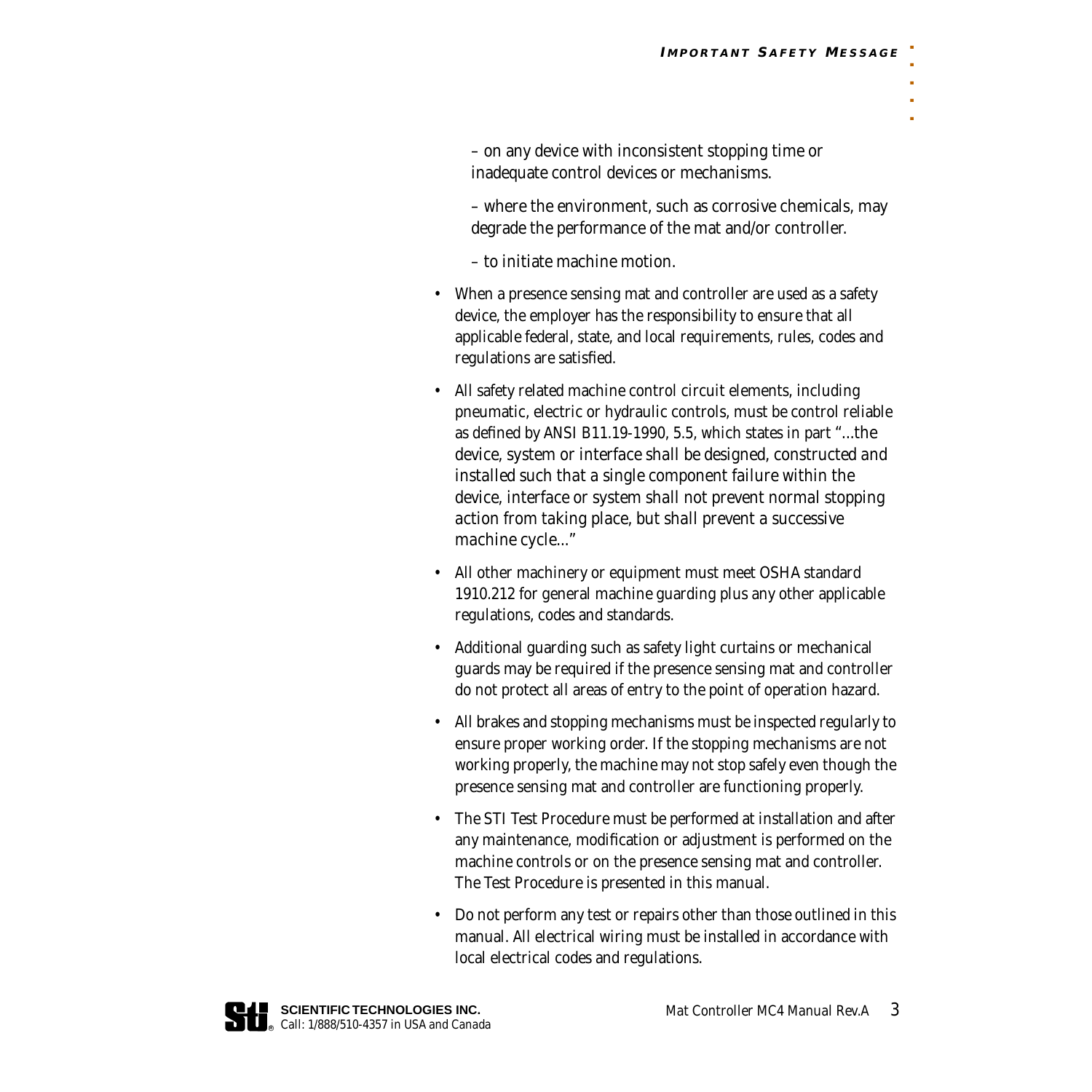– on any device with inconsistent stopping time or inadequate control devices or mechanisms.

– where the environment, such as corrosive chemicals, may degrade the performance of the mat and/or controller.

– to initiate machine motion.

- When a presence sensing mat and controller are used as a safety device, the employer has the responsibility to ensure that all applicable federal, state, and local requirements, rules, codes and regulations are satisfied.
- All safety related machine control circuit elements, including pneumatic, electric or hydraulic controls, must be control reliable as defined by ANSI B11.19-1990, 5.5, which states in part *"...the device, system or interface shall be designed, constructed and installed such that a single component failure within the device, interface or system shall not prevent normal stopping action from taking place, but shall prevent a successive machine cycle..."*
- All other machinery or equipment must meet OSHA standard 1910.212 for general machine guarding plus any other applicable regulations, codes and standards.
- Additional guarding such as safety light curtains or mechanical guards may be required if the presence sensing mat and controller do not protect all areas of entry to the point of operation hazard.
- All brakes and stopping mechanisms must be inspected regularly to ensure proper working order. If the stopping mechanisms are not working properly, the machine may not stop safely even though the presence sensing mat and controller are functioning properly.
- The STI Test Procedure must be performed at installation and after any maintenance, modification or adjustment is performed on the machine controls or on the presence sensing mat and controller. The Test Procedure is presented in this manual.
- Do not perform any test or repairs other than those outlined in this manual. All electrical wiring must be installed in accordance with local electrical codes and regulations.

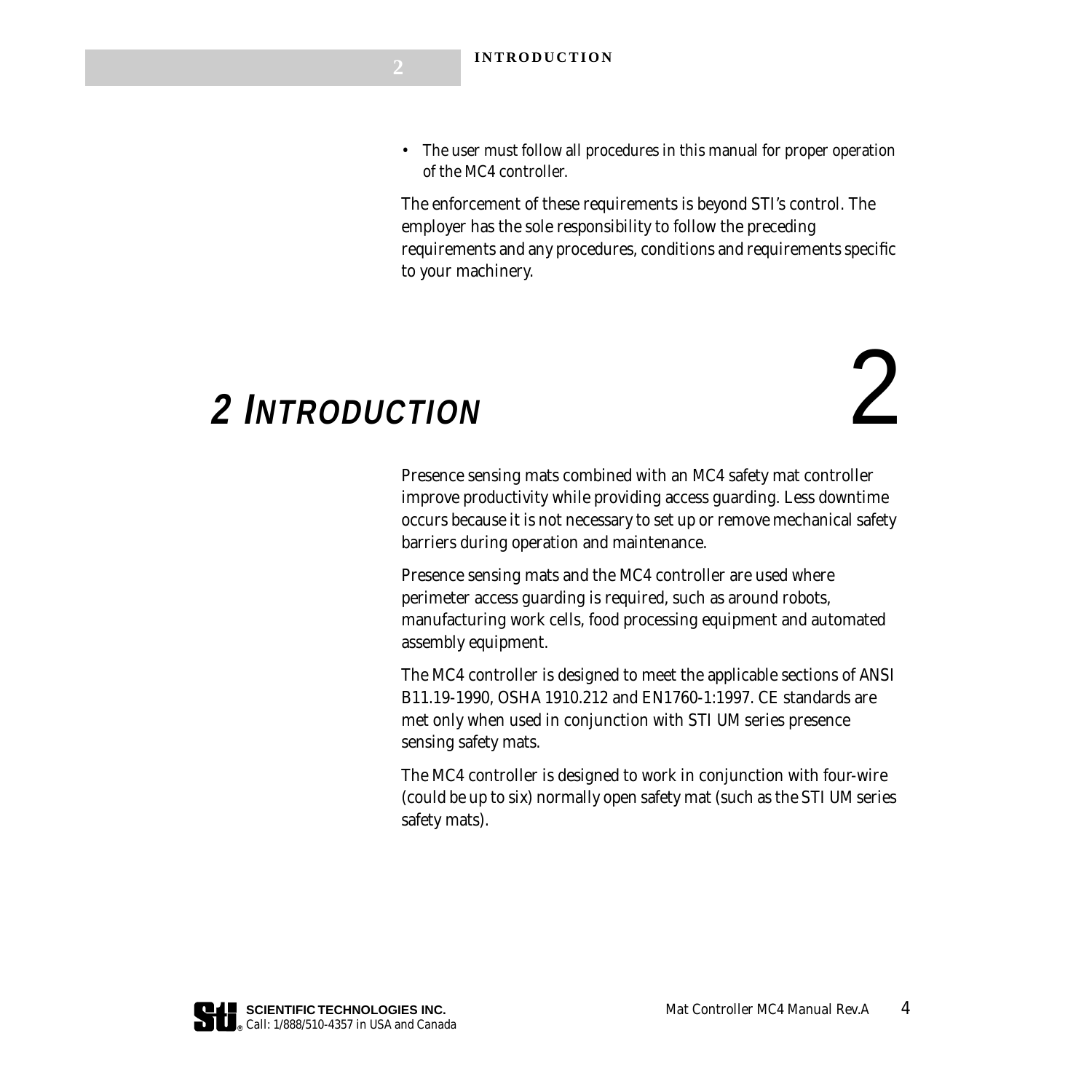• The user must follow all procedures in this manual for proper operation of the MC4 controller.

The enforcement of these requirements is beyond STI's control. The employer has the sole responsibility to follow the preceding requirements and any procedures, conditions and requirements specific to your machinery.

### <span id="page-4-0"></span> **2 INTRODUCTION** 2

Presence sensing mats combined with an MC4 safety mat controller improve productivity while providing access guarding. Less downtime occurs because it is not necessary to set up or remove mechanical safety barriers during operation and maintenance.

Presence sensing mats and the MC4 controller are used where perimeter access guarding is required, such as around robots, manufacturing work cells, food processing equipment and automated assembly equipment.

The MC4 controller is designed to meet the applicable sections of ANSI B11.19-1990, OSHA 1910.212 and EN1760-1:1997. CE standards are met only when used in conjunction with STI UM series presence sensing safety mats.

The MC4 controller is designed to work in conjunction with four-wire (could be up to six) normally open safety mat (such as the STI UM series safety mats).

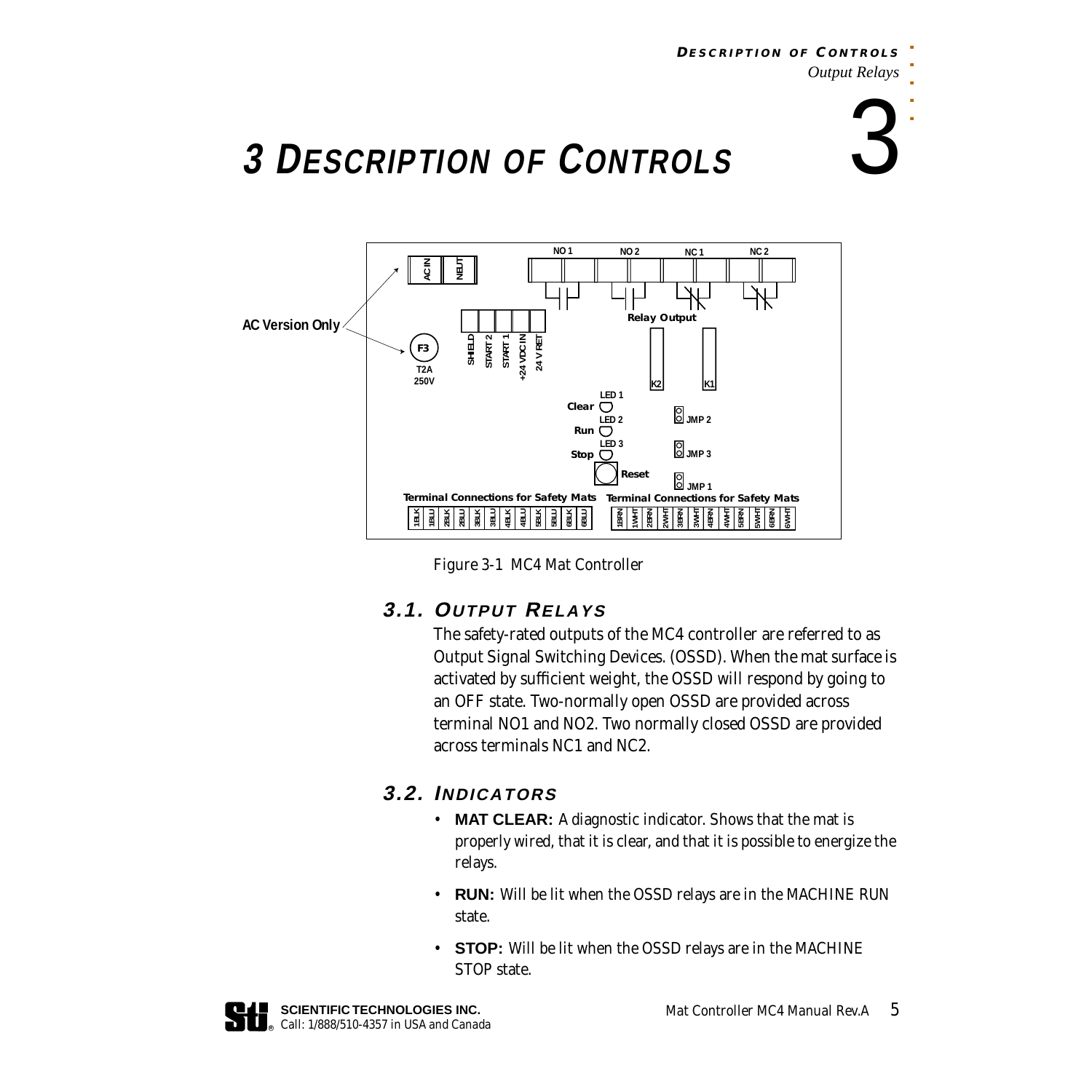#### **DESCRIPTION O F C ONTROLS** *Output Relays*

# . . . . .

## <span id="page-5-0"></span> **3 DESCRIPTION OF CONTROLS** 3



*Figure 3-1 MC4 Mat Controller*

### <span id="page-5-1"></span>**3.1. OUTPUT RELAYS**

The safety-rated outputs of the MC4 controller are referred to as Output Signal Switching Devices. (OSSD). When the mat surface is activated by sufficient weight, the OSSD will respond by going to an OFF state. Two-normally open OSSD are provided across terminal NO1 and NO2. Two normally closed OSSD are provided across terminals NC1 and NC2.

### **3.2. INDICATORS**

- **MAT CLEAR:** A diagnostic indicator. Shows that the mat is properly wired, that it is clear, and that it is possible to energize the relays.
- **RUN:** Will be lit when the OSSD relays are in the MACHINE RUN state.
- **STOP:** Will be lit when the OSSD relays are in the MACHINE STOP state.

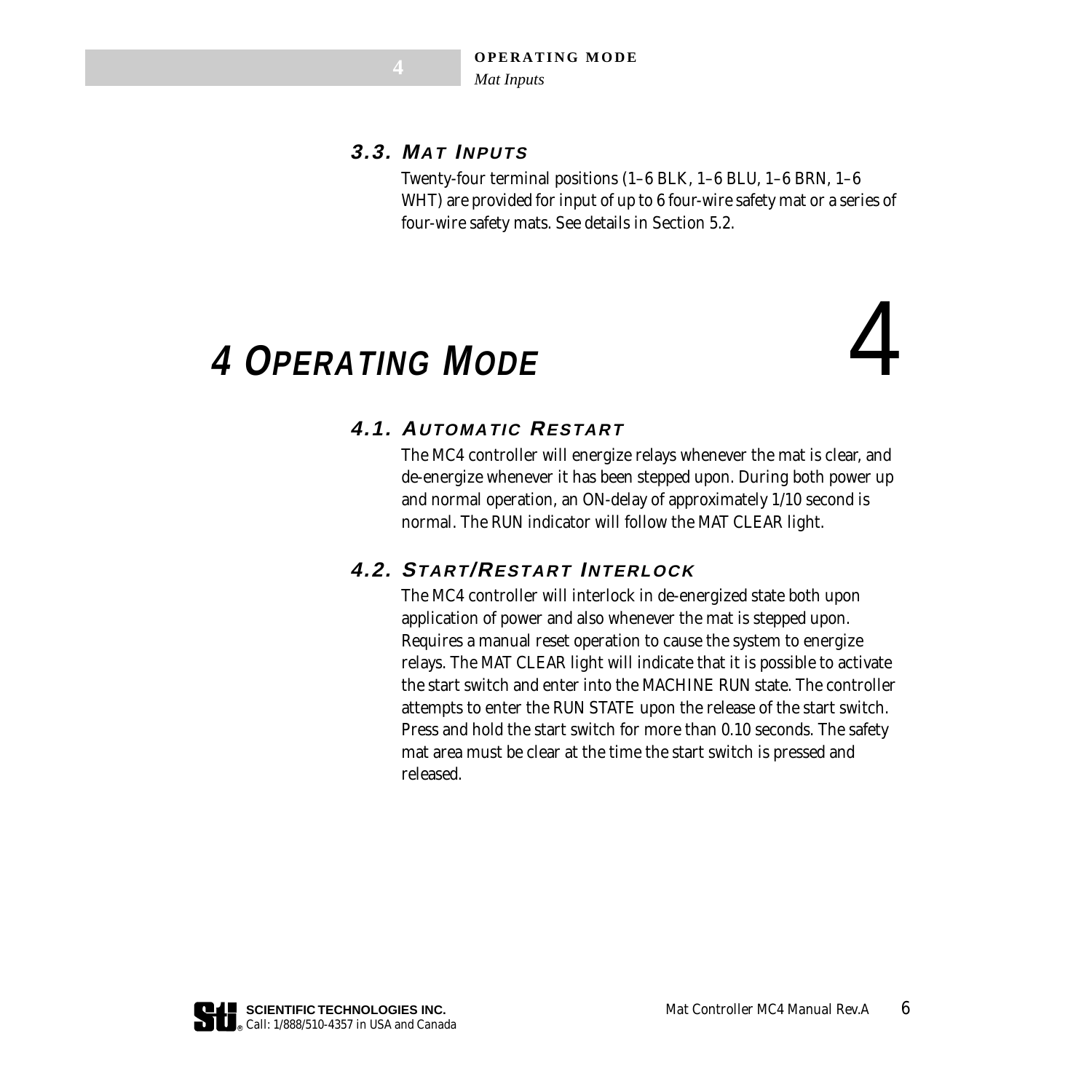### **3.3. MAT INPUTS**

Twenty-four terminal positions (1–6 BLK, 1–6 BLU, 1–6 BRN, 1–6 WHT) are provided for input of up to 6 four-wire safety mat or a series of four-wire safety mats. See details in Section 5.2.

### <span id="page-6-0"></span> **4 OPERATING MODE** 4

### **4.1. AUTOMATIC RESTART**

The MC4 controller will energize relays whenever the mat is clear, and de-energize whenever it has been stepped upon. During both power up and normal operation, an ON-delay of approximately 1/10 second is normal. The RUN indicator will follow the MAT CLEAR light.

### **4.2. START/RESTART INTERLOCK**

The MC4 controller will interlock in de-energized state both upon application of power and also whenever the mat is stepped upon. Requires a manual reset operation to cause the system to energize relays. The MAT CLEAR light will indicate that it is possible to activate the start switch and enter into the MACHINE RUN state. The controller attempts to enter the RUN STATE upon the release of the start switch. Press and hold the start switch for more than 0.10 seconds. The safety mat area must be clear at the time the start switch is pressed and released.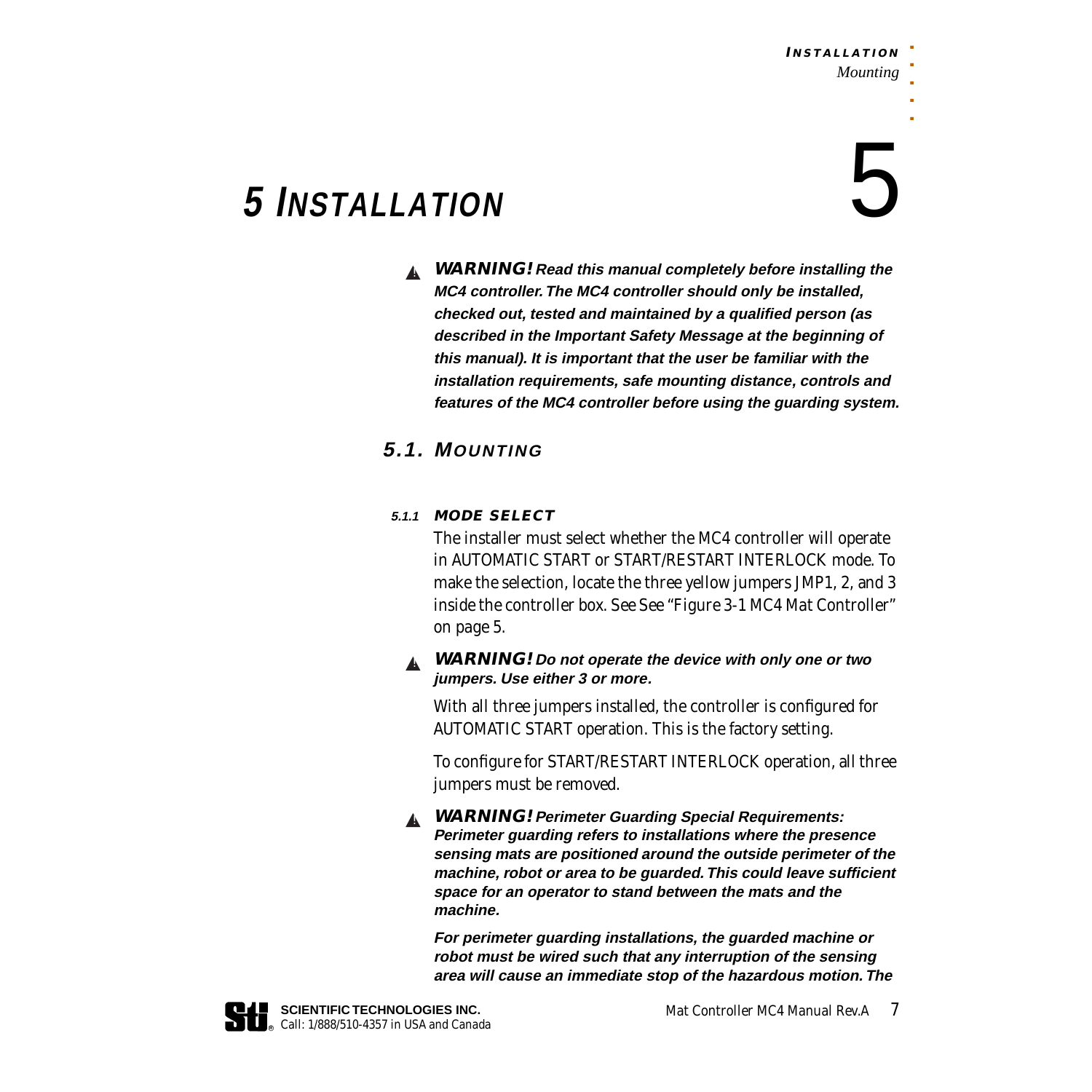### <span id="page-7-0"></span> **5 INSTALLATION** 5

**WARNING! Read this manual completely before installing the**  ▲! **MC4 controller. The MC4 controller should only be installed, checked out, tested and maintained by a qualified person (as described in the Important Safety Message at the beginning of this manual). It is important that the user be familiar with the installation requirements, safe mounting distance, controls and features of the MC4 controller before using the guarding system.**

### **5.1. MOUNTING**

### **5.1.1 MODE SELECT**

The installer must select whether the MC4 controller will operate in AUTOMATIC START or START/RESTART INTERLOCK mode. To make the selection, locate the three yellow jumpers JMP1, 2, and 3 inside the controller box. See *[See "Figure 3-1 MC4 Mat Controller"](#page-5-1)  [on page 5](#page-5-1)*.

### ▲ WARNING! Do not operate the device with only one or two **jumpers. Use either 3 or more.**

With all three jumpers installed, the controller is configured for AUTOMATIC START operation. This is the factory setting.

To configure for START/RESTART INTERLOCK operation, all three jumpers must be removed.

**WARNING! Perimeter Guarding Special Requirements:**  ▲!**Perimeter guarding refers to installations where the presence sensing mats are positioned around the outside perimeter of the machine, robot or area to be guarded. This could leave sufficient space for an operator to stand between the mats and the machine.**

**For perimeter guarding installations, the guarded machine or robot must be wired such that any interruption of the sensing area will cause an immediate stop of the hazardous motion. The** 



**R** *Call: 1/888/510-4357 in USA and Canada*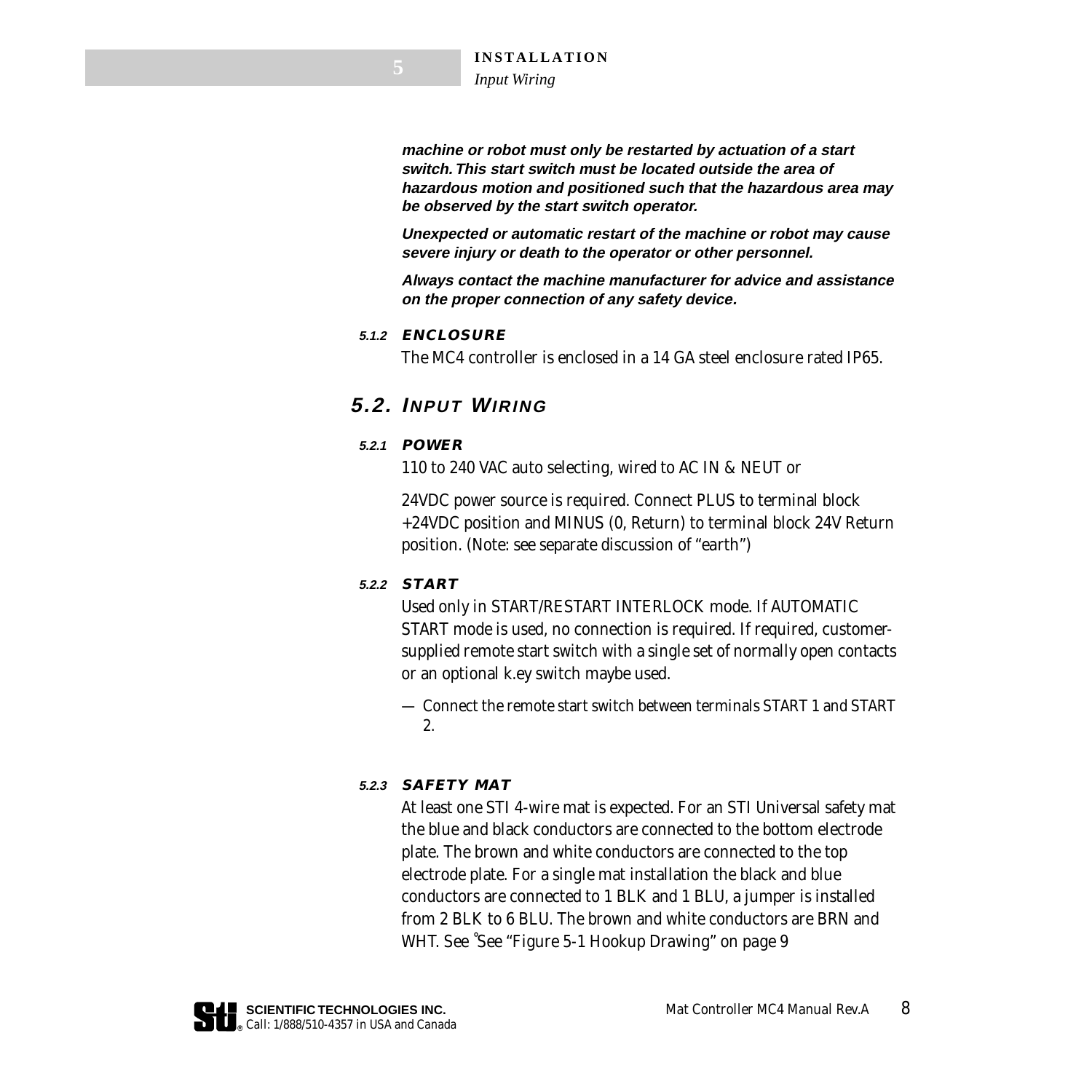**machine or robot must only be restarted by actuation of a start switch. This start switch must be located outside the area of hazardous motion and positioned such that the hazardous area may be observed by the start switch operator.** 

**Unexpected or automatic restart of the machine or robot may cause severe injury or death to the operator or other personnel.** 

**Always contact the machine manufacturer for advice and assistance on the proper connection of any safety device.**

#### **5.1.2 ENCLOSURE**

The MC4 controller is enclosed in a 14 GA steel enclosure rated IP65.

### **5.2. INPUT WIRING**

### **5.2.1 POWER**

110 to 240 VAC auto selecting, wired to AC IN & NEUT or

24VDC power source is required. Connect PLUS to terminal block +24VDC position and MINUS (0, Return) to terminal block 24V Return position. (Note: see separate discussion of *"earth"*)

### **5.2.2 START**

Used only in START/RESTART INTERLOCK mode. If AUTOMATIC START mode is used, no connection is required. If required, customersupplied remote start switch with a single set of normally open contacts or an optional k.ey switch maybe used.

— Connect the remote start switch between terminals START 1 and START 2.

### **5.2.3 SAFETY MAT**

At least one STI 4-wire mat is expected. For an STI Universal safety mat the blue and black conductors are connected to the bottom electrode plate. The brown and white conductors are connected to the top electrode plate. For a single mat installation the black and blue conductors are connected to 1 BLK and 1 BLU, a jumper is installed from 2 BLK to 6 BLU. The brown and white conductors are BRN and WHT. See ˚*[See "Figure 5-1 Hookup Drawing" on page 9](#page-9-0)*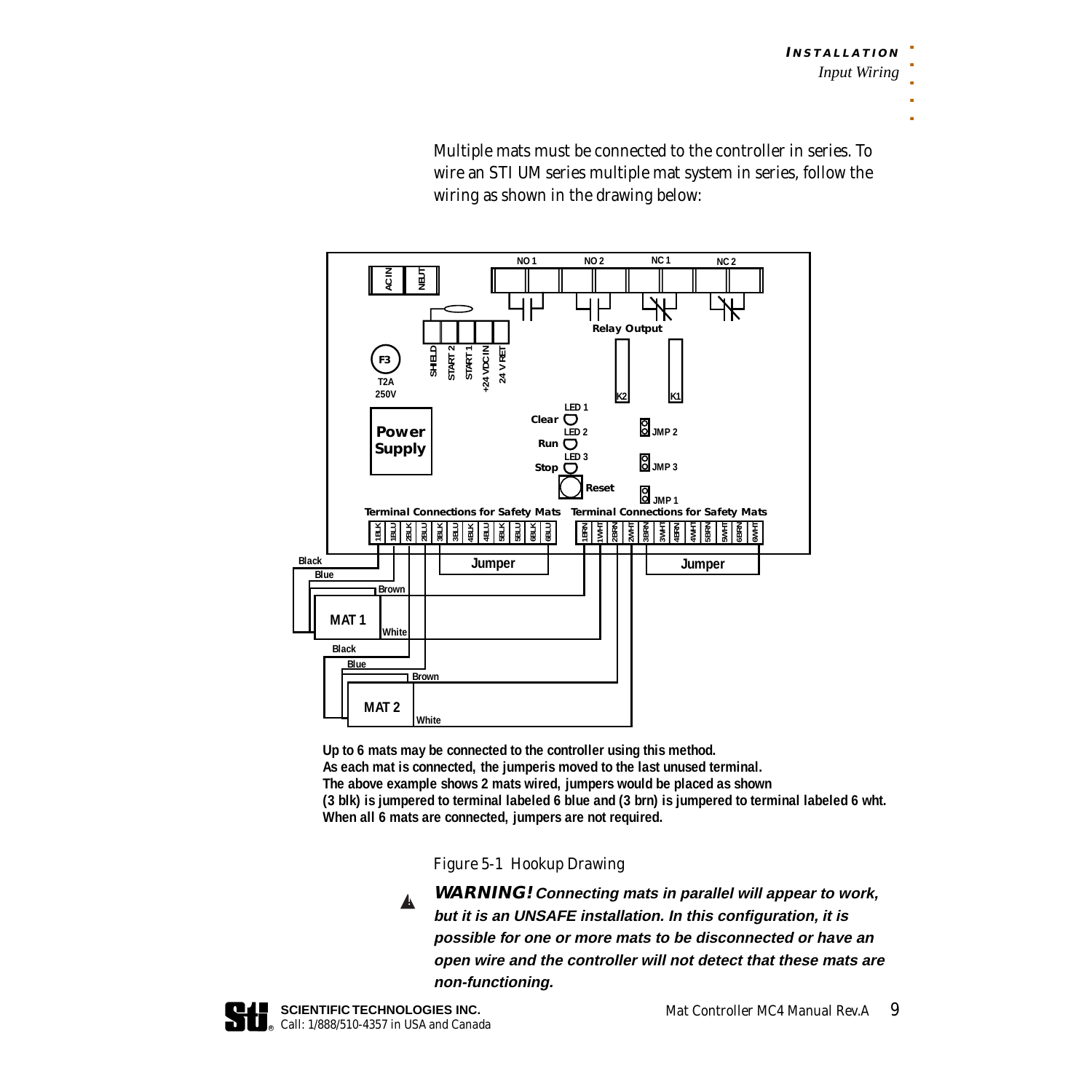Multiple mats must be connected to the controller in series. To wire an STI UM series multiple mat system in series, follow the wiring as shown in the drawing below:



**Up to 6 mats may be connected to the controller using this method. As each mat is connected, the jumperis moved to the last unused terminal. The above example shows 2 mats wired, jumpers would be placed as shown (3 blk) is jumpered to terminal labeled 6 blue and (3 brn) is jumpered to terminal labeled 6 wht. When all 6 mats are connected, jumpers are not required.** 

*Figure 5-1 Hookup Drawing*

**WARNING! Connecting mats in parallel will appear to work, but it is an UNSAFE installation. In this configuration, it is possible for one or more mats to be disconnected or have an open wire and the controller will not detect that these mats are non-functioning.**  $\mathbf{A}$ 

<span id="page-9-0"></span>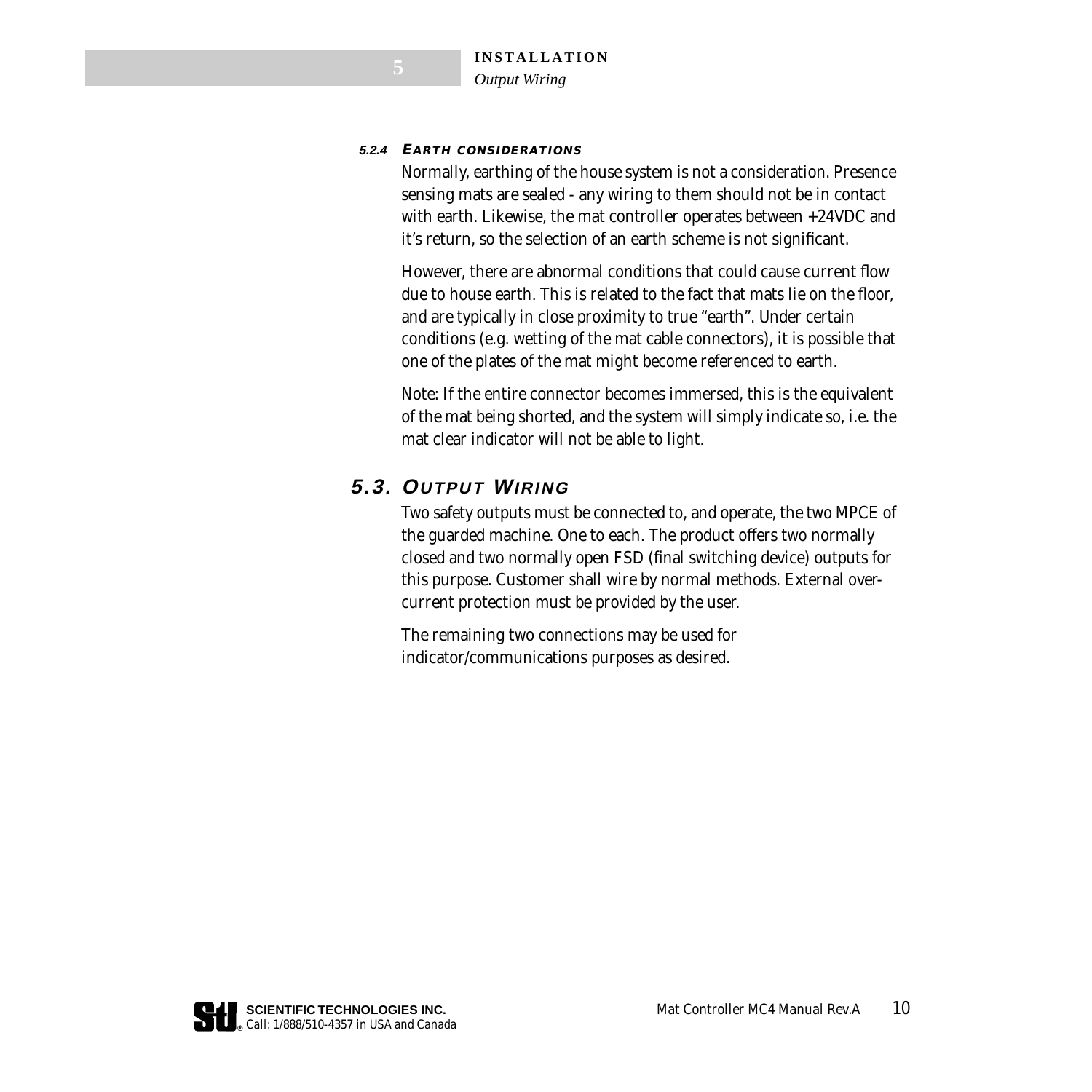#### <span id="page-10-0"></span>**5.2.4 EARTH CONSIDERATIONS**

Normally, earthing of the house system is not a consideration. Presence sensing mats are sealed - any wiring to them should not be in contact with earth. Likewise, the mat controller operates between +24VDC and it's return, so the selection of an earth scheme is not significant.

However, there are abnormal conditions that could cause current flow due to house earth. This is related to the fact that mats lie on the floor, and are typically in close proximity to true "earth". Under certain conditions (e.g. wetting of the mat cable connectors), it is possible that one of the plates of the mat might become referenced to earth.

Note: If the entire connector becomes immersed, this is the equivalent of the mat being shorted, and the system will simply indicate so, i.e. the mat clear indicator will not be able to light.

### **5.3. OUTPUT WIRING**

Two safety outputs must be connected to, and operate, the two MPCE of the guarded machine. One to each. The product offers two normally closed and two normally open FSD (final switching device) outputs for this purpose. Customer shall wire by normal methods. External overcurrent protection must be provided by the user.

The remaining two connections may be used for indicator/communications purposes as desired.

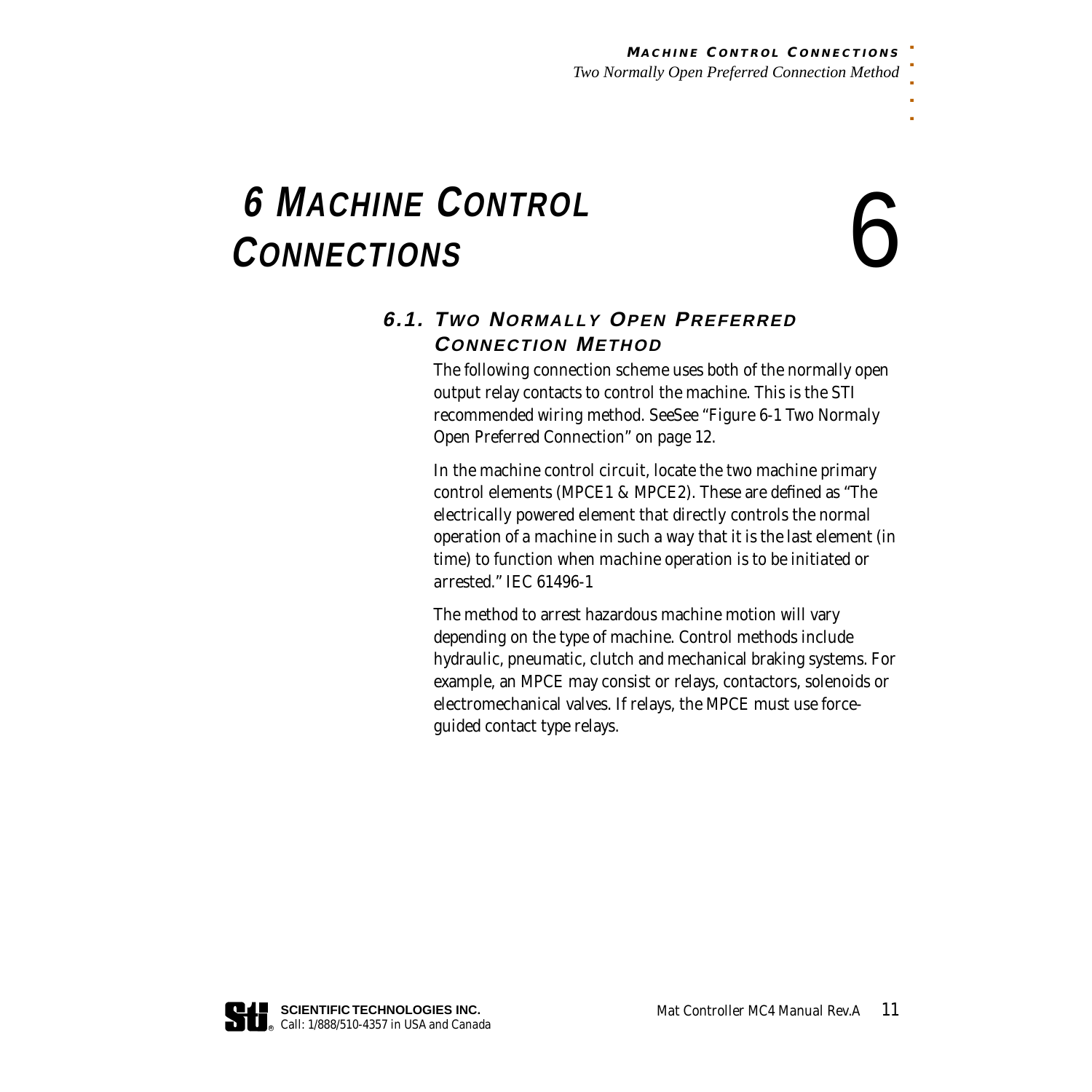# <span id="page-11-0"></span> $\begin{matrix}\n 6 \text{ MacHINE CONTROL} \\
\text{ConvECTIONS}\n \end{matrix}$

. . . . .

### **6.1. TWO NORMALLY OPEN PREFERRED CONNECTION METHOD**

The following connection scheme uses both of the normally open output relay contacts to control the machine. This is the STI recommended wiring method. See*[See "Figure 6-1 Two Normaly](#page-12-0)  [Open Preferred Connection" on page 12](#page-12-0)*.

In the machine control circuit, locate the two machine primary control elements (MPCE1 & MPCE2). These are defined as *"The electrically powered element that directly controls the normal operation of a machine in such a way that it is the last element (in time) to function when machine operation is to be initiated or arrested."* IEC 61496-1

The method to arrest hazardous machine motion will vary depending on the type of machine. Control methods include hydraulic, pneumatic, clutch and mechanical braking systems. For example, an MPCE may consist or relays, contactors, solenoids or electromechanical valves. If relays, the MPCE must use forceguided contact type relays.

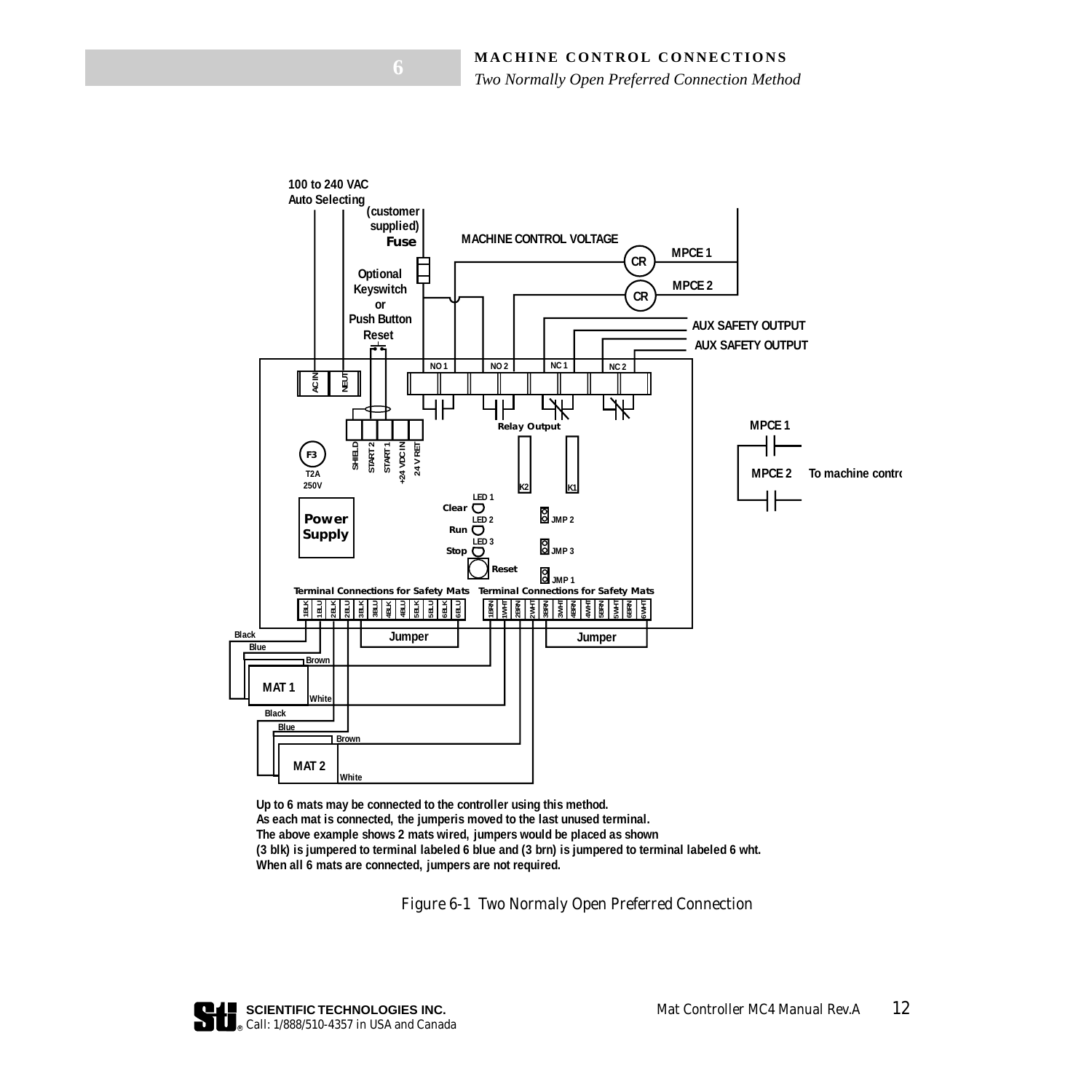

<span id="page-12-0"></span>**Up to 6 mats may be connected to the controller using this method. As each mat is connected, the jumperis moved to the last unused terminal. The above example shows 2 mats wired, jumpers would be placed as shown (3 blk) is jumpered to terminal labeled 6 blue and (3 brn) is jumpered to terminal labeled 6 wht. When all 6 mats are connected, jumpers are not required.** 

*Figure 6-1 Two Normaly Open Preferred Connection*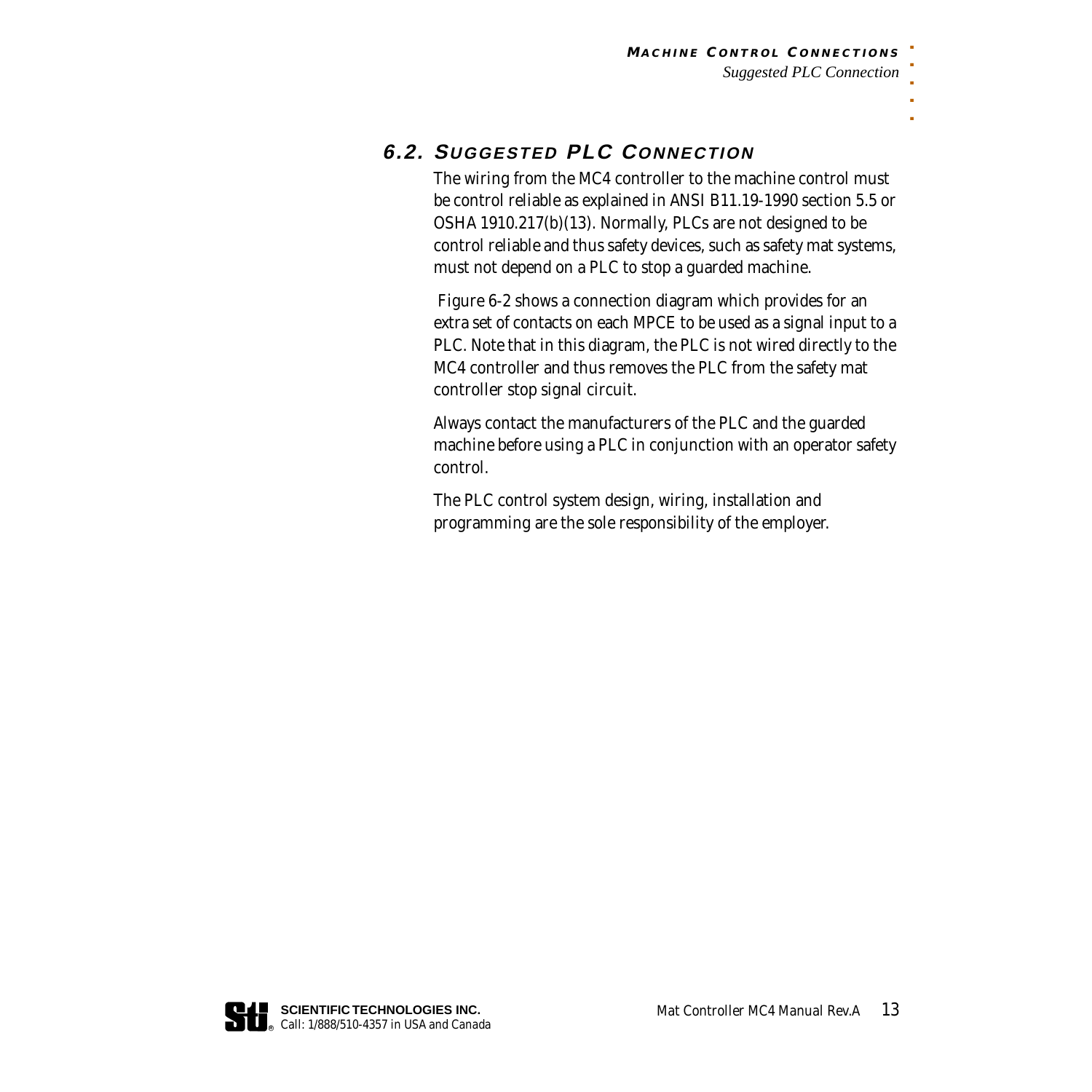### **6.2. SUGGESTED PLC CONNECTION**

The wiring from the MC4 controller to the machine control must be control reliable as explained in ANSI B11.19-1990 section 5.5 or OSHA 1910.217(b)(13). Normally, PLCs are not designed to be control reliable and thus safety devices, such as safety mat systems, must not depend on a PLC to stop a guarded machine.

*Figure 6-2* shows a connection diagram which provides for an extra set of contacts on each MPCE to be used as a signal input to a PLC. Note that in this diagram, the PLC is not wired directly to the MC4 controller and thus removes the PLC from the safety mat controller stop signal circuit.

Always contact the manufacturers of the PLC and the guarded machine before using a PLC in conjunction with an operator safety control.

The PLC control system design, wiring, installation and programming are the sole responsibility of the employer.

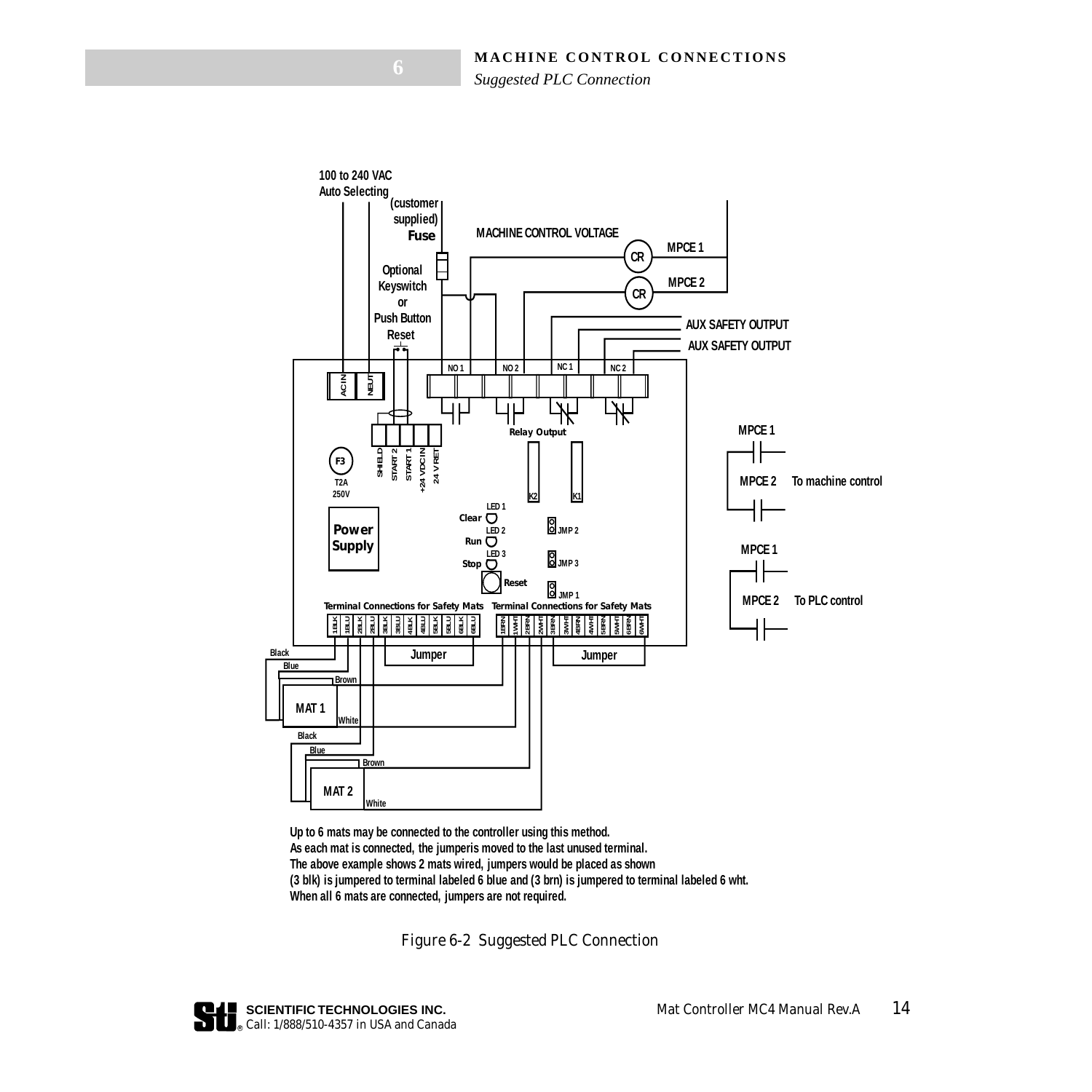#### **MACHINE CONTROL CONNECTIONS**

*Suggested PLC Connection*



<span id="page-14-0"></span>**Up to 6 mats may be connected to the controller using this method. As each mat is connected, the jumperis moved to the last unused terminal. The above example shows 2 mats wired, jumpers would be placed as shown (3 blk) is jumpered to terminal labeled 6 blue and (3 brn) is jumpered to terminal labeled 6 wht. When all 6 mats are connected, jumpers are not required.** 

*Figure 6-2 Suggested PLC Connection*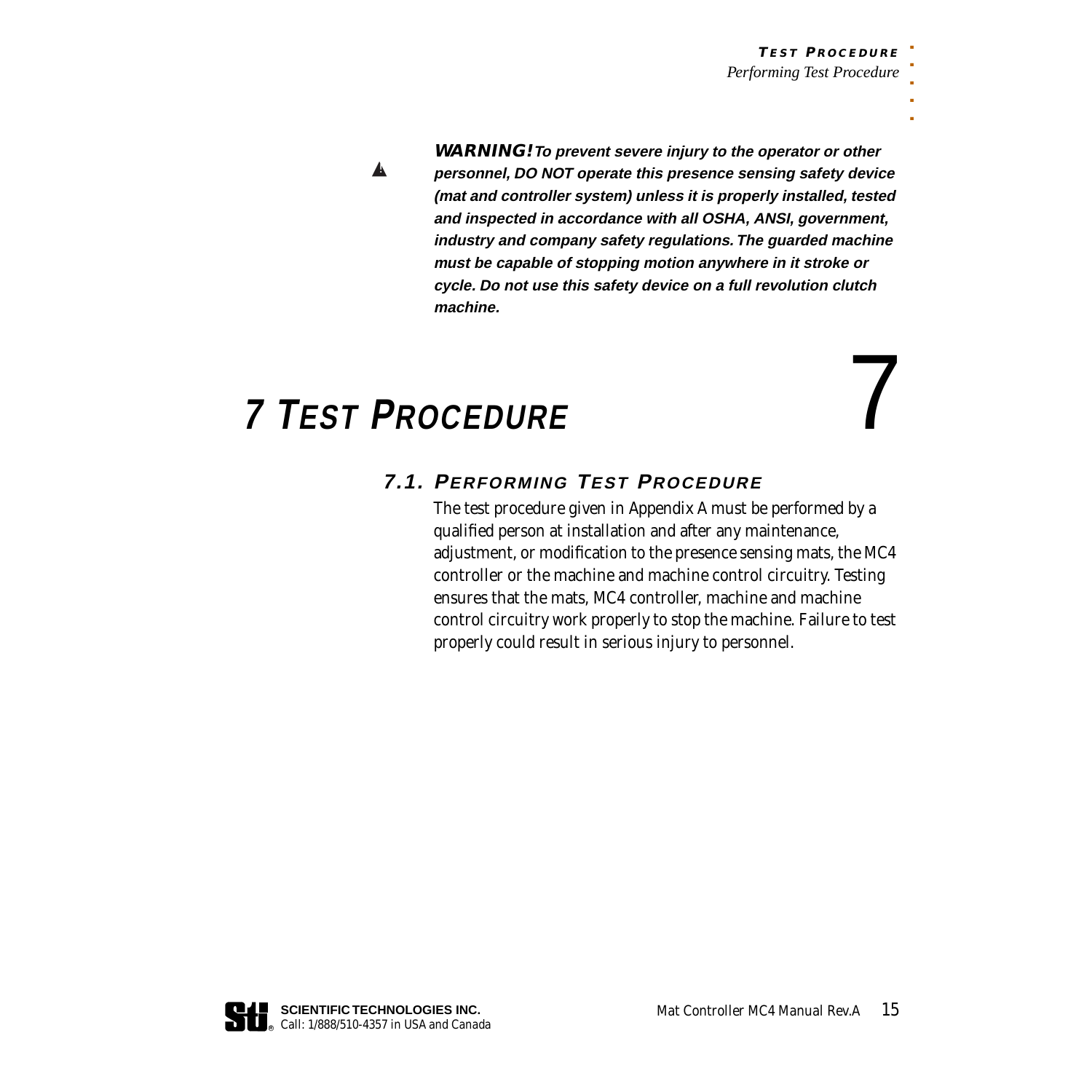▲!

**WARNING! To prevent severe injury to the operator or other personnel, DO NOT operate this presence sensing safety device (mat and controller system) unless it is properly installed, tested and inspected in accordance with all OSHA, ANSI, government, industry and company safety regulations. The guarded machine must be capable of stopping motion anywhere in it stroke or cycle. Do not use this safety device on a full revolution clutch machine.**

### <span id="page-15-0"></span> **7 TEST PROCEDURE** 7

### **7.1. PERFORMING TEST PROCEDURE**

The test procedure given in Appendix A must be performed by a qualified person at installation and after any maintenance, adjustment, or modification to the presence sensing mats, the MC4 controller or the machine and machine control circuitry. Testing ensures that the mats, MC4 controller, machine and machine control circuitry work properly to stop the machine. Failure to test properly could result in serious injury to personnel.

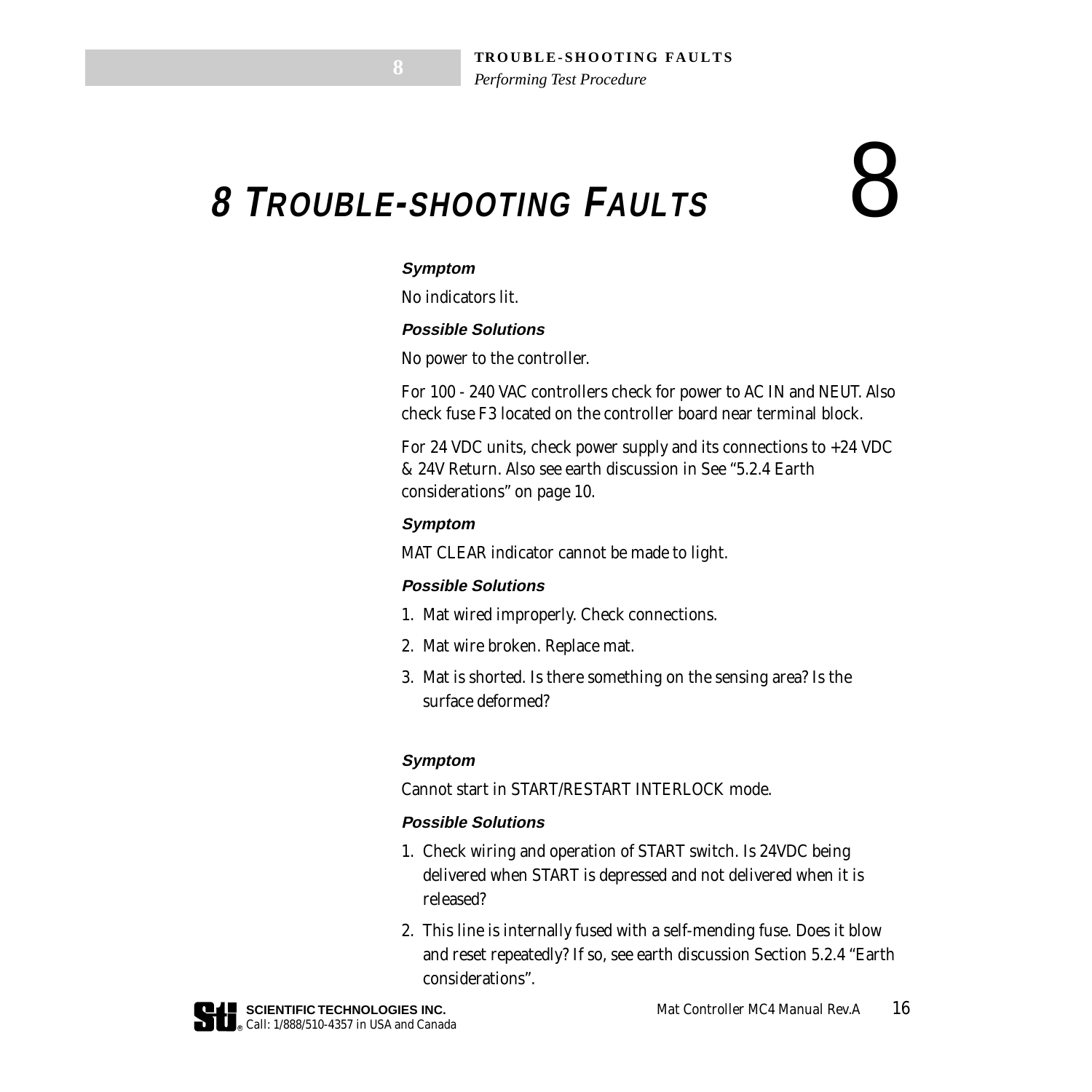## <span id="page-16-0"></span> **8 TROUBLE-SHOOTING FAULTS** 8

### **Symptom**

No indicators lit.

#### **Possible Solutions**

No power to the controller.

For 100 - 240 VAC controllers check for power to AC IN and NEUT. Also check fuse F3 located on the controller board near terminal block.

For 24 VDC units, check power supply and its connections to  $+24$  VDC & 24V Return. Also see earth discussion in *[See "5.2.4 Earth](#page-10-0)  [considerations" on page 10](#page-10-0)*.

### **Symptom**

MAT CLEAR indicator cannot be made to light.

### **Possible Solutions**

- 1. Mat wired improperly. Check connections.
- 2. Mat wire broken. Replace mat.
- 3. Mat is shorted. Is there something on the sensing area? Is the surface deformed?

### **Symptom**

Cannot start in START/RESTART INTERLOCK mode.

### **Possible Solutions**

- 1. Check wiring and operation of START switch. Is 24VDC being delivered when START is depressed and not delivered when it is released?
- 2. This line is internally fused with a self-mending fuse. Does it blow and reset repeatedly? If so, see earth discussion Section 5.2.4 ["Earth](#page-10-0)  [considerations".](#page-10-0)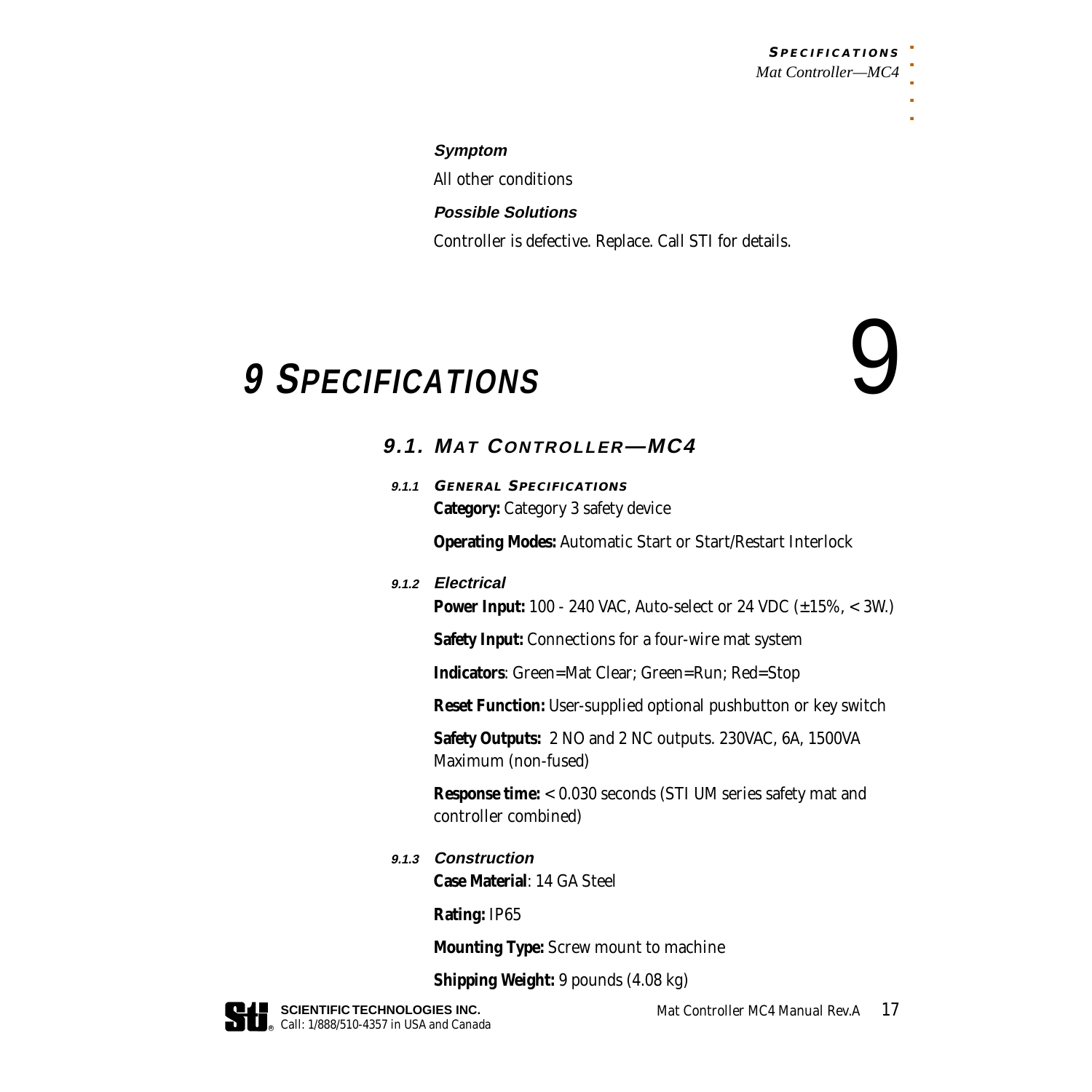### **S PECIFICATIONS** *Mat Controller—MC4*

. . . . .

#### **Symptom**

All other conditions

### **Possible Solutions**

Controller is defective. Replace. Call STI for details.

### <span id="page-17-0"></span> **9 SPECIFICATIONS** 9

### **9.1. MAT CONTROLLER—MC4**

**9.1.1 GENERAL SPECIFICATIONS Category:** Category 3 safety device

**Operating Modes:** Automatic Start or Start/Restart Interlock

### **9.1.2 Electrical**

**Power Input:** 100 - 240 VAC, Auto-select or 24 VDC (±15%, < 3W.)

**Safety Input:** Connections for a four-wire mat system

**Indicators**: Green=Mat Clear; Green=Run; Red=Stop

**Reset Function:** User-supplied optional pushbutton or key switch

**Safety Outputs:** 2 NO and 2 NC outputs. 230VAC, 6A, 1500VA Maximum (non-fused)

**Response time:** < 0.030 seconds (STI UM series safety mat and controller combined)

**9.1.3 Construction**

**Case Material**: 14 GA Steel

**Rating:** IP65

**Mounting Type:** Screw mount to machine

**Shipping Weight:** 9 pounds (4.08 kg)

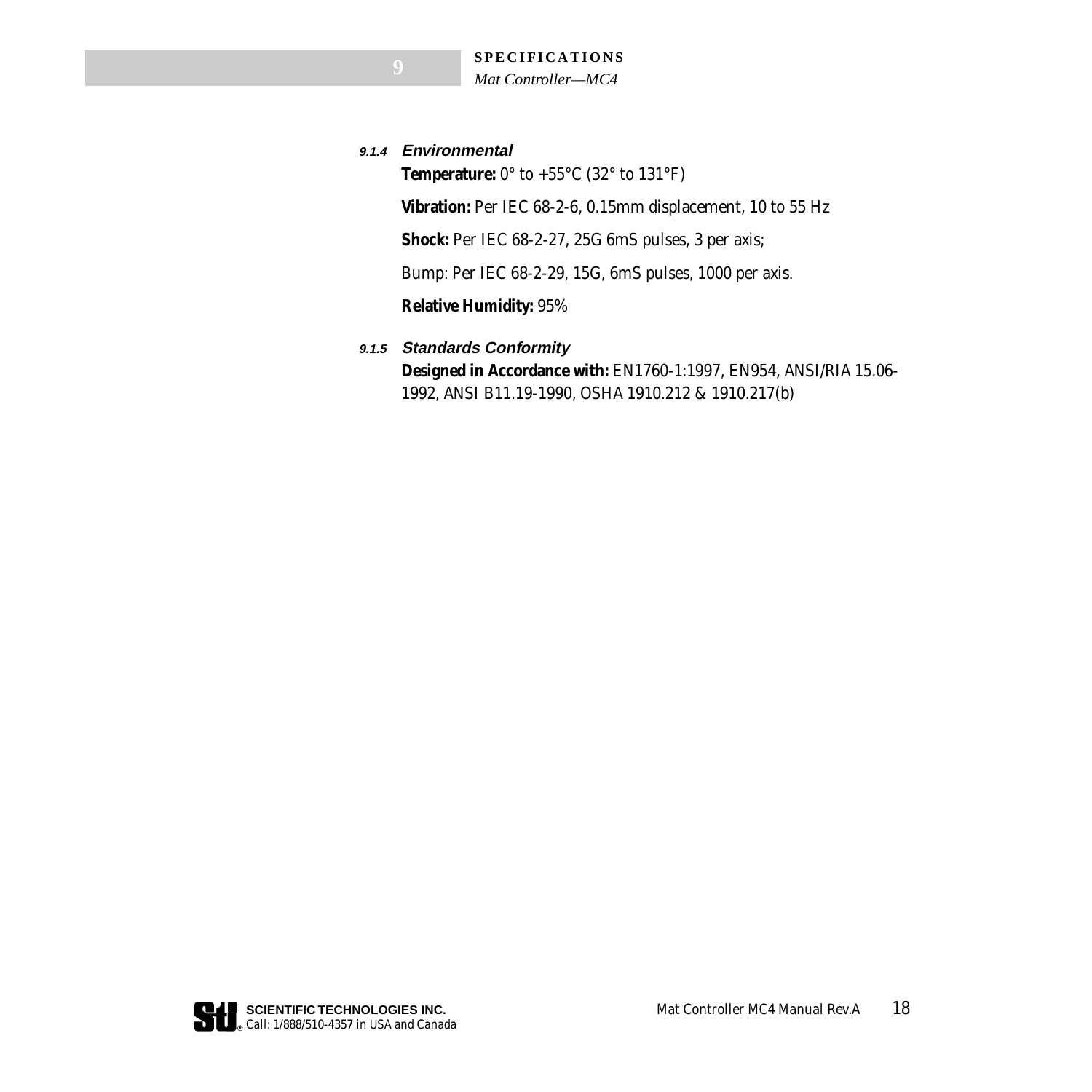**9.1.4 Environmental**

**Temperature:** 0° to +55°C (32° to 131°F)

**Vibration:** Per IEC 68-2-6, 0.15mm displacement, 10 to 55 Hz

**Shock:** Per IEC 68-2-27, 25G 6mS pulses, 3 per axis;

Bump: Per IEC 68-2-29, 15G, 6mS pulses, 1000 per axis.

**Relative Humidity:** 95%

### **9.1.5 Standards Conformity**

**Designed in Accordance with:** EN1760-1:1997, EN954, ANSI/RIA 15.06- 1992, ANSI B11.19-1990, OSHA 1910.212 & 1910.217(b)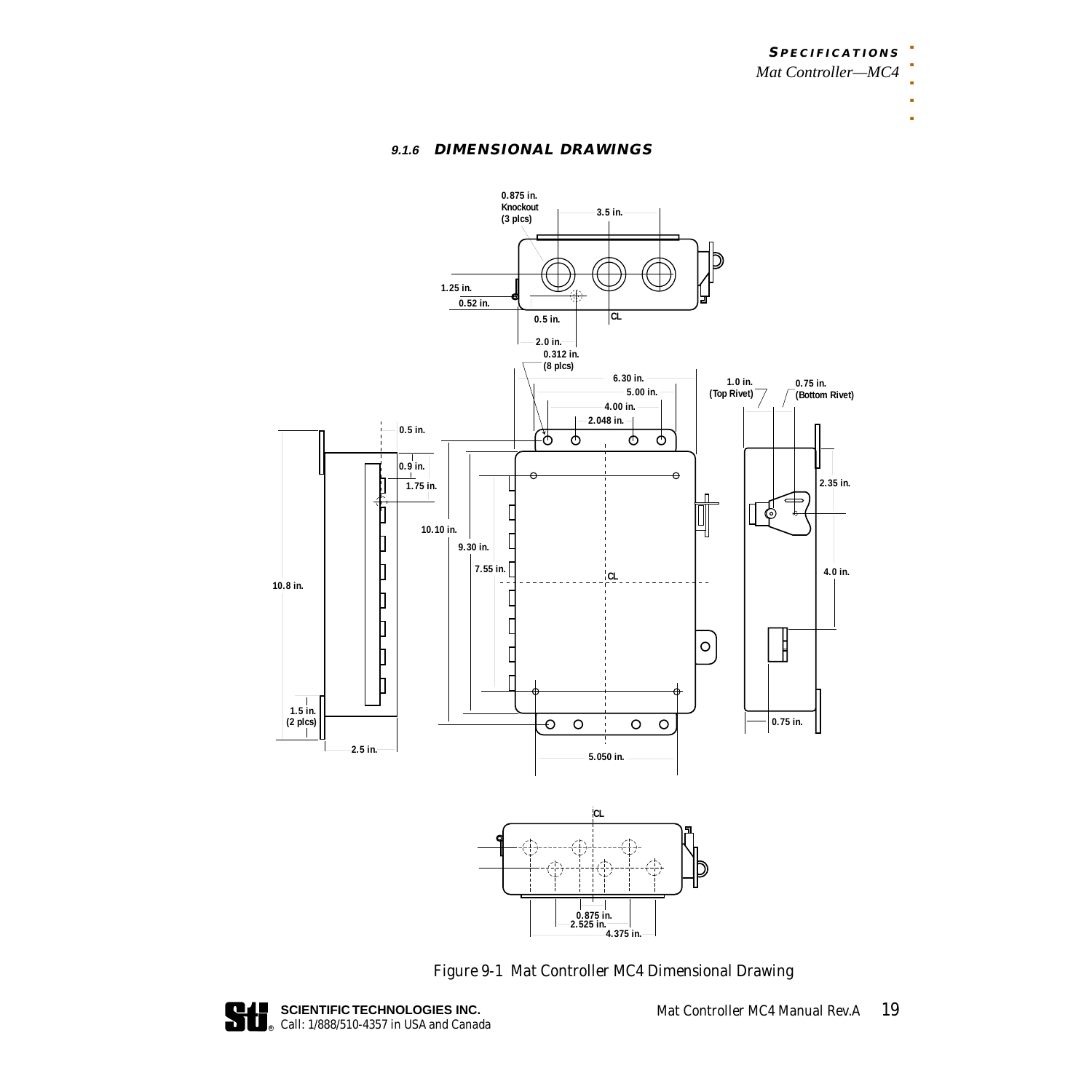*Mat Controller—MC4*

### **9.1.6 DIMENSIONAL DRAWINGS**



*Figure 9-1 Mat Controller MC4 Dimensional Drawing*

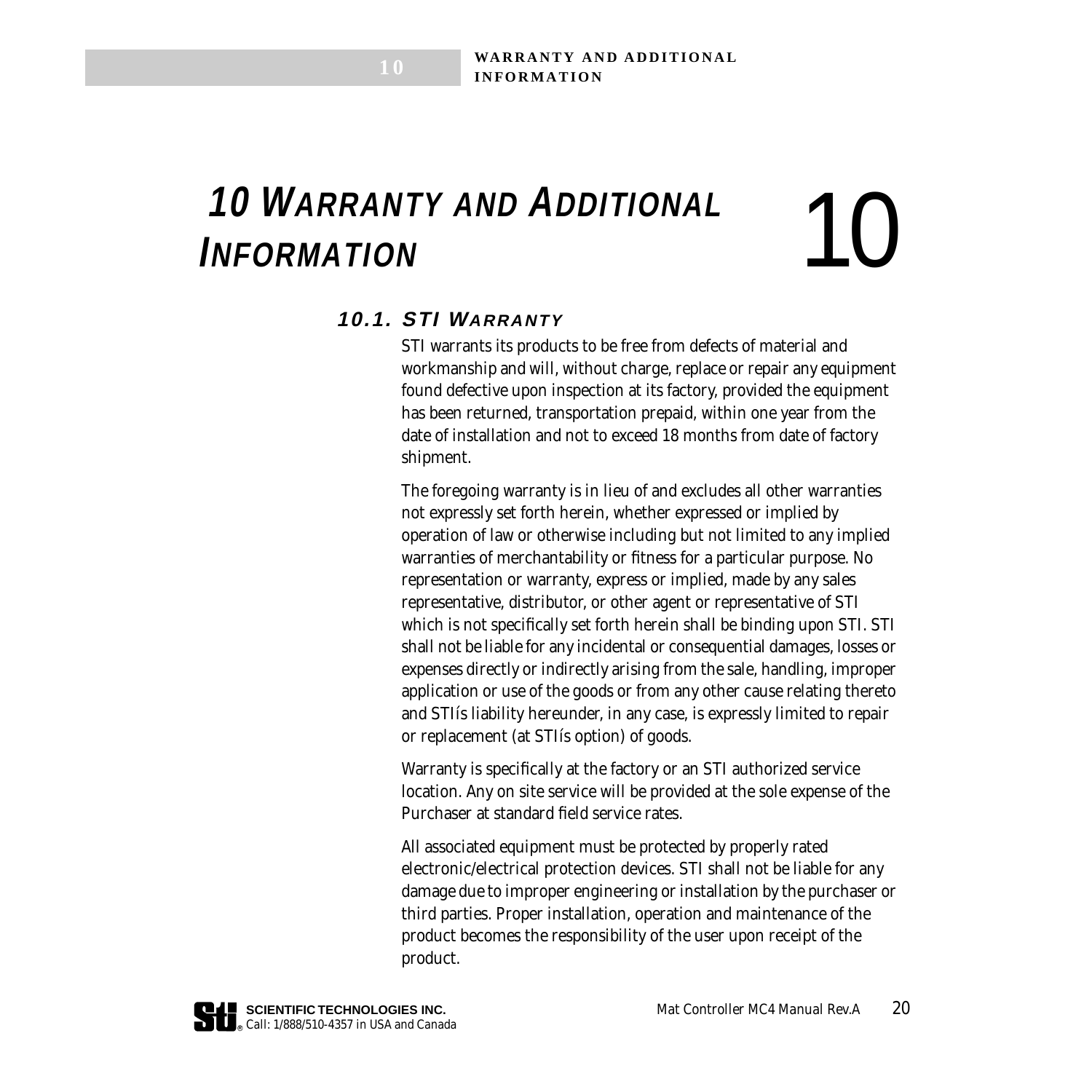# <span id="page-20-0"></span>**10 WARRANTY AND ADDITIONAL** 10 **THEORMATION**

**1 0**

### **10.1. STI WARRANTY**

STI warrants its products to be free from defects of material and workmanship and will, without charge, replace or repair any equipment found defective upon inspection at its factory, provided the equipment has been returned, transportation prepaid, within one year from the date of installation and not to exceed 18 months from date of factory shipment.

The foregoing warranty is in lieu of and excludes all other warranties not expressly set forth herein, whether expressed or implied by operation of law or otherwise including but not limited to any implied warranties of merchantability or fitness for a particular purpose. No representation or warranty, express or implied, made by any sales representative, distributor, or other agent or representative of STI which is not specifically set forth herein shall be binding upon STI. STI shall not be liable for any incidental or consequential damages, losses or expenses directly or indirectly arising from the sale, handling, improper application or use of the goods or from any other cause relating thereto and STIís liability hereunder, in any case, is expressly limited to repair or replacement (at STIís option) of goods.

Warranty is specifically at the factory or an STI authorized service location. Any on site service will be provided at the sole expense of the Purchaser at standard field service rates.

All associated equipment must be protected by properly rated electronic/electrical protection devices. STI shall not be liable for any damage due to improper engineering or installation by the purchaser or third parties. Proper installation, operation and maintenance of the product becomes the responsibility of the user upon receipt of the product.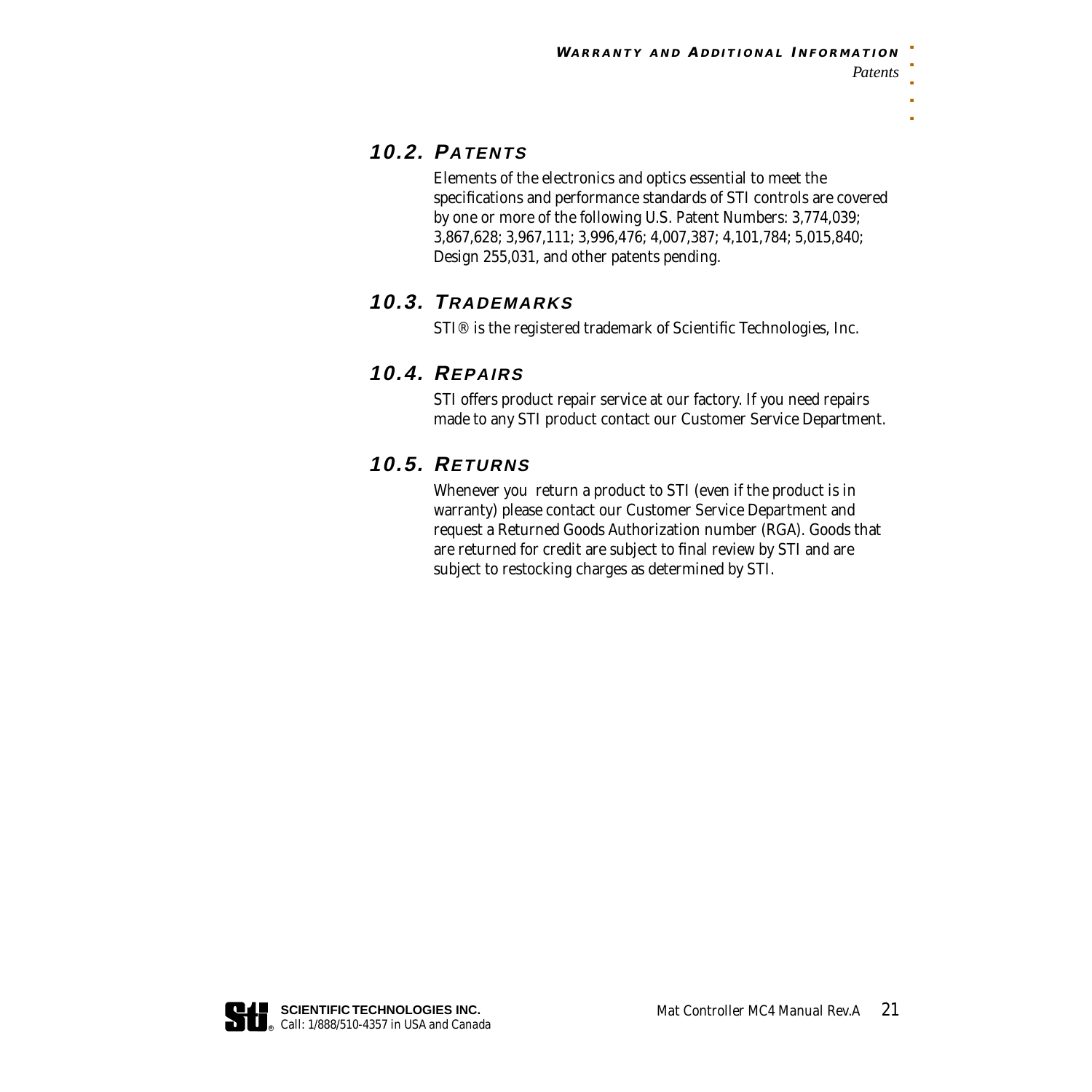### **10.2. PATENTS**

Elements of the electronics and optics essential to meet the specifications and performance standards of STI controls are covered by one or more of the following U.S. Patent Numbers: 3,774,039; 3,867,628; 3,967,111; 3,996,476; 4,007,387; 4,101,784; 5,015,840; Design 255,031, and other patents pending.

### **10.3. TRADEMARKS**

STI® is the registered trademark of Scientific Technologies, Inc.

### **10.4. REPAIRS**

STI offers product repair service at our factory. If you need repairs made to any STI product contact our Customer Service Department.

### **10.5. RETURNS**

Whenever you return a product to STI (even if the product is in warranty) please contact our Customer Service Department and request a Returned Goods Authorization number (RGA). Goods that are returned for credit are subject to final review by STI and are subject to restocking charges as determined by STI.

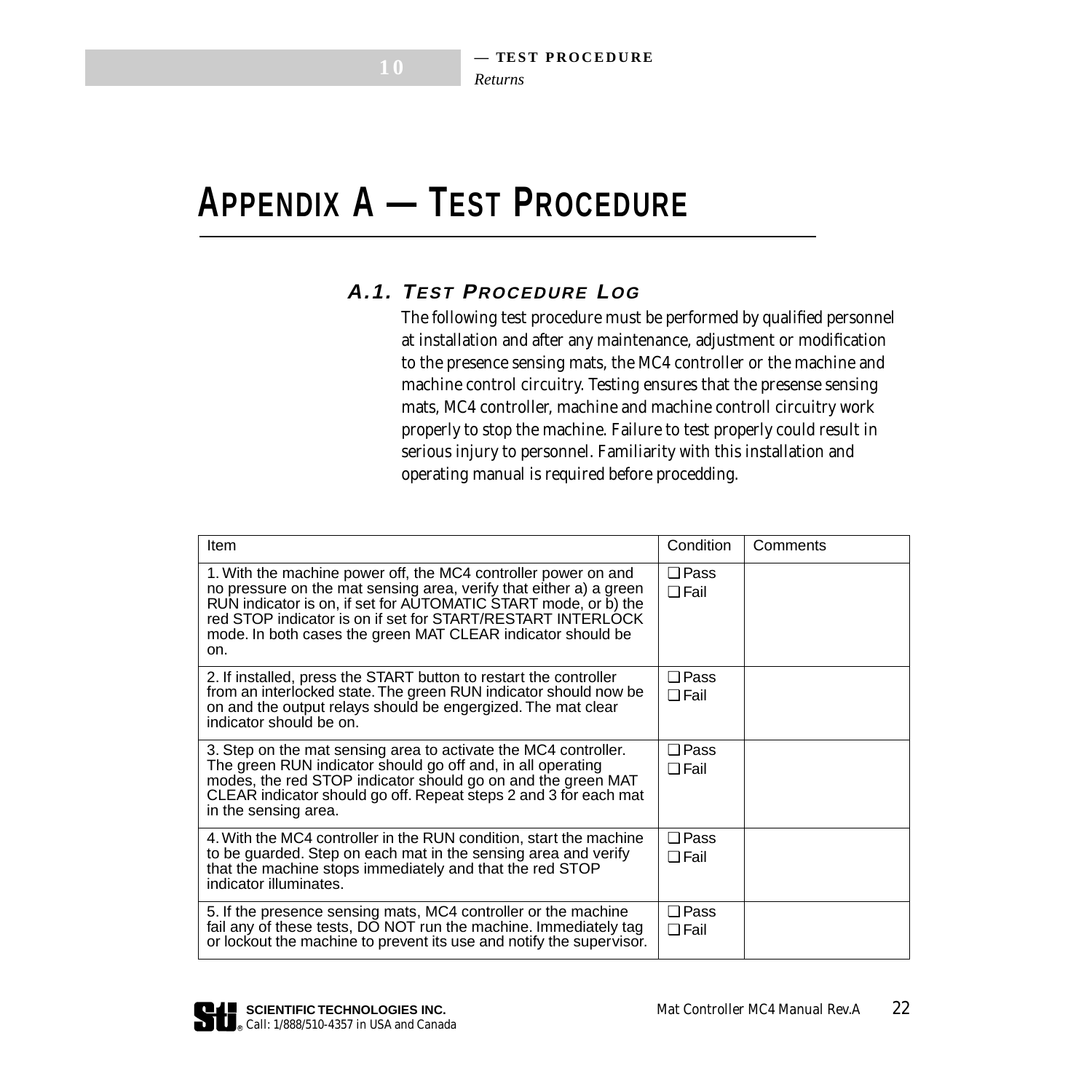### <span id="page-22-0"></span>**APPENDIX A — TEST PROCEDURE**

**1 0**

### **A.1. TEST PROCEDURE LOG**

The following test procedure must be performed by qualified personnel at installation and after any maintenance, adjustment or modification to the presence sensing mats, the MC4 controller or the machine and machine control circuitry. Testing ensures that the presense sensing mats, MC4 controller, machine and machine controll circuitry work properly to stop the machine. Failure to test properly could result in serious injury to personnel. Familiarity with this installation and operating manual is required before procedding.

| <b>Item</b>                                                                                                                                                                                                                                                                                                                                  | Condition                     | Comments |
|----------------------------------------------------------------------------------------------------------------------------------------------------------------------------------------------------------------------------------------------------------------------------------------------------------------------------------------------|-------------------------------|----------|
| 1. With the machine power off, the MC4 controller power on and<br>no pressure on the mat sensing area, verify that either a) a green<br>RUN indicator is on, if set for AUTOMATIC START mode, or b) the<br>red STOP indicator is on if set for START/RESTART INTERLOCK<br>mode. In both cases the green MAT CLEAR indicator should be<br>on. | $\square$ Pass<br>$\Box$ Fail |          |
| 2. If installed, press the START button to restart the controller<br>from an interlocked state. The green RUN indicator should now be<br>on and the output relays should be engergized. The mat clear<br>indicator should be on.                                                                                                             | $\Box$ Pass<br>$\Box$ Fail    |          |
| 3. Step on the mat sensing area to activate the MC4 controller.<br>The green RUN indicator should go off and, in all operating<br>modes, the red STOP indicator should go on and the green MAT<br>CLEAR indicator should go off. Repeat steps 2 and 3 for each mat<br>in the sensing area.                                                   | $\square$ Pass<br>$\Box$ Fail |          |
| 4. With the MC4 controller in the RUN condition, start the machine<br>to be quarded. Step on each mat in the sensing area and verify<br>that the machine stops immediately and that the red STOP<br>indicator illuminates.                                                                                                                   | $\square$ Pass<br>$\Box$ Fail |          |
| 5. If the presence sensing mats, MC4 controller or the machine<br>fail any of these tests, DO NOT run the machine. Immediately tag<br>or lockout the machine to prevent its use and notify the supervisor.                                                                                                                                   | $\Box$ Pass<br>$\Box$ Fail    |          |